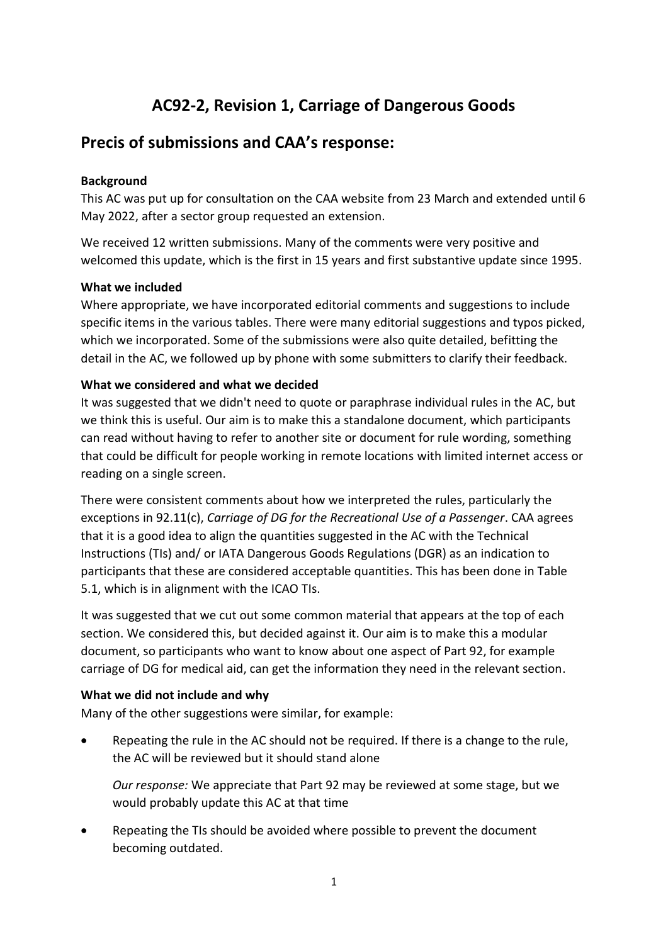# **AC92-2, Revision 1, Carriage of Dangerous Goods**

## **Precis of submissions and CAA's response:**

#### **Background**

This AC was put up for consultation on the CAA website from 23 March and extended until 6 May 2022, after a sector group requested an extension.

We received 12 written submissions. Many of the comments were very positive and welcomed this update, which is the first in 15 years and first substantive update since 1995.

#### **What we included**

Where appropriate, we have incorporated editorial comments and suggestions to include specific items in the various tables. There were many editorial suggestions and typos picked, which we incorporated. Some of the submissions were also quite detailed, befitting the detail in the AC, we followed up by phone with some submitters to clarify their feedback.

#### **What we considered and what we decided**

It was suggested that we didn't need to quote or paraphrase individual rules in the AC, but we think this is useful. Our aim is to make this a standalone document, which participants can read without having to refer to another site or document for rule wording, something that could be difficult for people working in remote locations with limited internet access or reading on a single screen.

There were consistent comments about how we interpreted the rules, particularly the exceptions in 92.11(c), *Carriage of DG for the Recreational Use of a Passenger*. CAA agrees that it is a good idea to align the quantities suggested in the AC with the Technical Instructions (TIs) and/ or IATA Dangerous Goods Regulations (DGR) as an indication to participants that these are considered acceptable quantities. This has been done in Table 5.1, which is in alignment with the ICAO TIs.

It was suggested that we cut out some common material that appears at the top of each section. We considered this, but decided against it. Our aim is to make this a modular document, so participants who want to know about one aspect of Part 92, for example carriage of DG for medical aid, can get the information they need in the relevant section.

### **What we did not include and why**

Many of the other suggestions were similar, for example:

Repeating the rule in the AC should not be required. If there is a change to the rule, the AC will be reviewed but it should stand alone

*Our response:* We appreciate that Part 92 may be reviewed at some stage, but we would probably update this AC at that time

• Repeating the TIs should be avoided where possible to prevent the document becoming outdated.